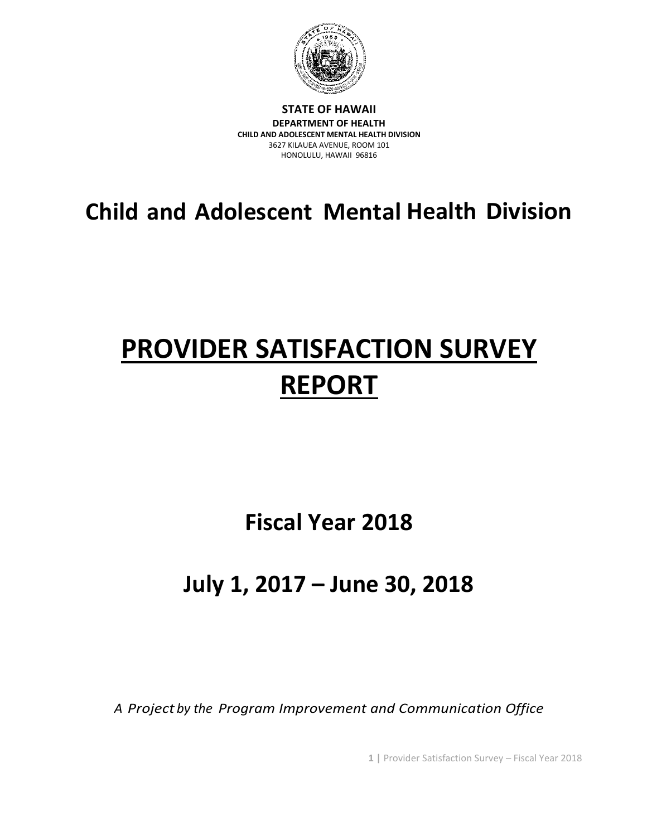

**STATE OF HAWAII DEPARTMENT OF HEALTH CHILD AND ADOLESCENT MENTAL HEALTH DIVISION** 3627 KILAUEA AVENUE, ROOM 101 HONOLULU, HAWAII 96816

**Child and Adolescent Mental Health Division**

# **PROVIDER SATISFACTION SURVEY REPORT**

**Fiscal Year 2018**

# **July 1, 2017 – June 30, 2018**

*A Project by the Program Improvement and Communication Office*

**1 |** Provider Satisfaction Survey – Fiscal Year 2018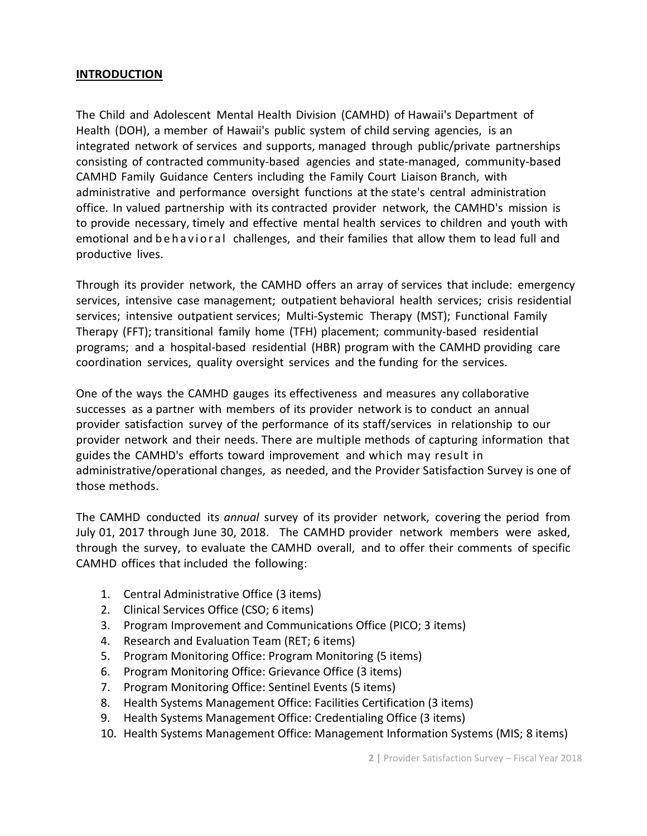#### **INTRODUCTION**

The Child and Adolescent Mental Health Division (CAMHD) of Hawaii's Department of Health (DOH), a member of Hawaii's public system of child serving agencies, is an integrated network of services and supports, managed through public/private partnerships consisting of contracted community-based agencies and state-managed, community-based CAMHD Family Guidance Centers including the Family Court Liaison Branch, with administrative and performance oversight functions at the state's central administration office. In valued partnership with its contracted provider network, the CAMHD's mission is to provide necessary, timely and effective mental health services to children and youth with emotional and behavioral challenges, and their families that allow them to lead full and productive lives.

Through its provider network, the CAMHD offers an array of services that include: emergency services, intensive case management; outpatient behavioral health services; crisis residential services; intensive outpatient services; Multi-Systemic Therapy (MST); Functional Family Therapy (FFT); transitional family home (TFH) placement; community-based residential programs; and a hospital-based residential (HBR) program with the CAMHD providing care coordination services, quality oversight services and the funding for the services.

One of the ways the CAMHD gauges its effectiveness and measures any collaborative successes as a partner with members of its provider network is to conduct an annual provider satisfaction survey of the performance of its staff/services in relationship to our provider network and their needs. There are multiple methods of capturing information that guides the CAMHD's efforts toward improvement and which may result in administrative/operational changes, as needed, and the Provider Satisfaction Survey is one of those methods.

The CAMHD conducted its *annual* survey of its provider network, covering the period from July 01, 2017 through June 30, 2018. The CAMHD provider network members were asked, through the survey, to evaluate the CAMHD overall, and to offer their comments of specific CAMHD offices that included the following:

- 1. Central Administrative Office (3 items)
- 2. Clinical Services Office (CSO; 6 items)
- 3. Program Improvement and Communications Office (PICO; 3 items)
- 4. Research and Evaluation Team (RET; 6 items)
- 5. Program Monitoring Office: Program Monitoring (5 items)
- 6. Program Monitoring Office: Grievance Office (3 items)
- 7. Program Monitoring Office: Sentinel Events (5 items)
- 8. Health Systems Management Office: Facilities Certification (3 items)
- 9. Health Systems Management Office: Credentialing Office (3 items)
- 10. Health Systems Management Office: Management Information Systems (MIS; 8 items)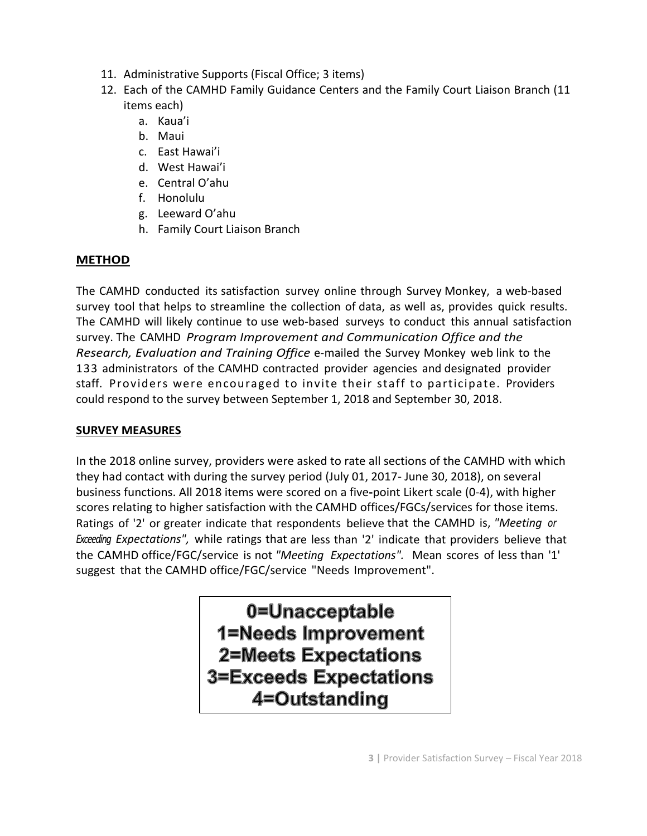- 11. Administrative Supports (Fiscal Office; 3 items)
- 12. Each of the CAMHD Family Guidance Centers and the Family Court Liaison Branch (11 items each)
	- a. Kaua'i
	- b. Maui
	- c. East Hawai'i
	- d. West Hawai'i
	- e. Central O'ahu
	- f. Honolulu
	- g. Leeward O'ahu
	- h. Family Court Liaison Branch

# **METHOD**

The CAMHD conducted its satisfaction survey online through Survey Monkey, a web-based survey tool that helps to streamline the collection of data, as well as, provides quick results. The CAMHD will likely continue to use web-based surveys to conduct this annual satisfaction survey. The CAMHD *Program Improvement and Communication Office and the Research, Evaluation and Training Office* e-mailed the Survey Monkey web link to the 133 administrators of the CAMHD contracted provider agencies and designated provider staff. Providers were encouraged to invite their staff to participate. Providers could respond to the survey between September 1, 2018 and September 30, 2018.

## **SURVEY MEASURES**

In the 2018 online survey, providers were asked to rate all sections of the CAMHD with which they had contact with during the survey period (July 01, 2017- June 30, 2018), on several business functions. All 2018 items were scored on a five**-**point Likert scale (0-4), with higher scores relating to higher satisfaction with the CAMHD offices/FGCs/services for those items. Ratings of '2' or greater indicate that respondents believe that the CAMHD is, *"Meeting or Exceeding Expectations",* while ratings that are less than '2' indicate that providers believe that the CAMHD office/FGC/service is not *"Meeting Expectations".* Mean scores of less than '1' suggest that the CAMHD office/FGC/service "Needs Improvement".

> 0=Unacceptable 1=Needs Improvement 2=Meets Expectations **3=Exceeds Expectations** 4=Outstanding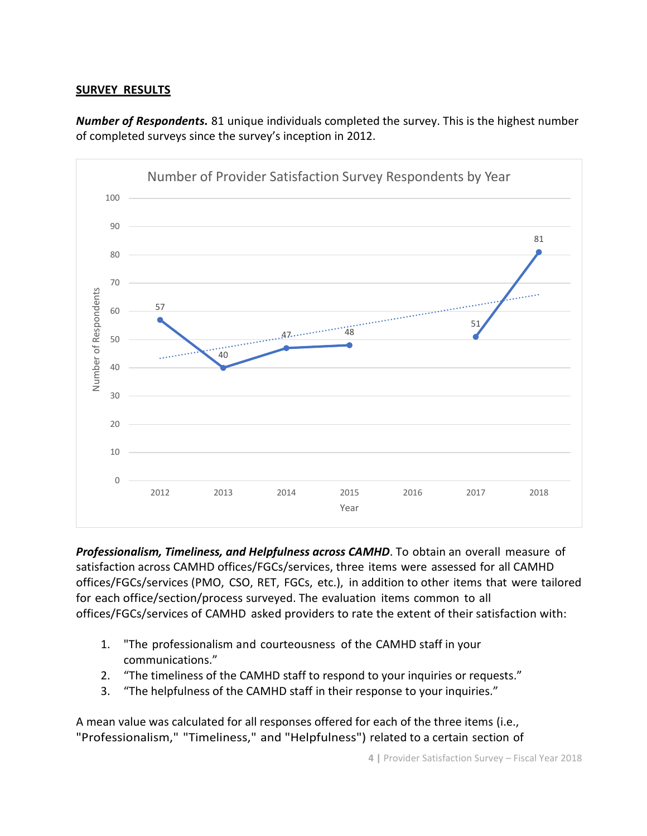#### **SURVEY RESULTS**

*Number of Respondents.* 81 unique individuals completed the survey. This is the highest number of completed surveys since the survey's inception in 2012.



*Professionalism, Timeliness, and Helpfulness across CAMHD*. To obtain an overall measure of satisfaction across CAMHD offices/FGCs/services, three items were assessed for all CAMHD offices/FGCs/services (PMO, CSO, RET, FGCs, etc.), in addition to other items that were tailored for each office/section/process surveyed. The evaluation items common to all offices/FGCs/services of CAMHD asked providers to rate the extent of their satisfaction with:

- 1. "The professionalism and courteousness of the CAMHD staff in your communications."
- 2. "The timeliness of the CAMHD staff to respond to your inquiries or requests."
- 3. "The helpfulness of the CAMHD staff in their response to your inquiries."

A mean value was calculated for all responses offered for each of the three items (i.e., "Professionalism," "Timeliness," and "Helpfulness") related to a certain section of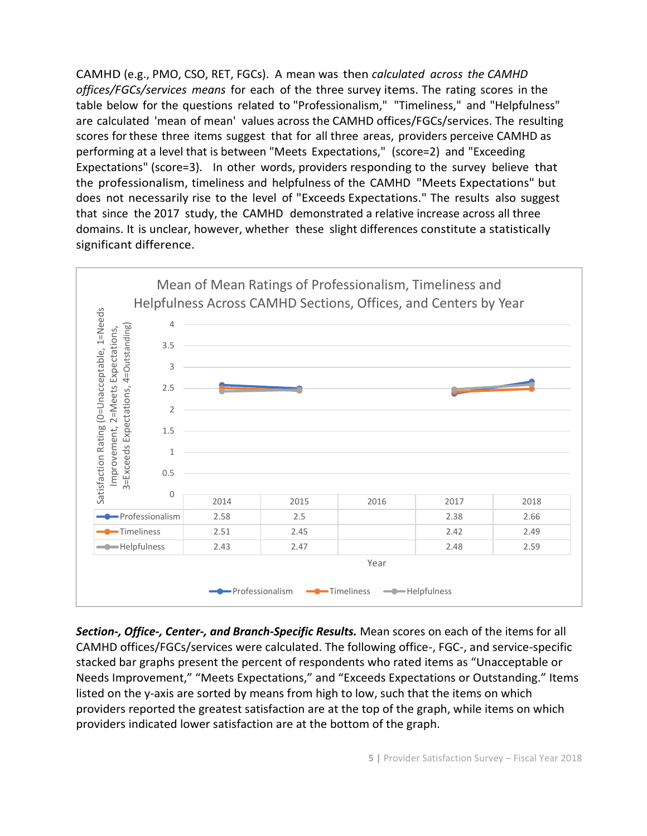CAMHD (e.g., PMO, CSO, RET, FGCs). A mean was then *calculated across the CAMHD offices/FGCs/services means* for each of the three survey items. The rating scores in the table below for the questions related to "Professionalism," "Timeliness," and "Helpfulness" are calculated 'mean of mean' values across the CAMHD offices/FGCs/services. The resulting scores for these three items suggest that for all three areas, providers perceive CAMHD as performing at a level that is between "Meets Expectations," (score=2) and "Exceeding Expectations" (score=3). In other words, providers responding to the survey believe that the professionalism, timeliness and helpfulness of the CAMHD "Meets Expectations" but does not necessarily rise to the level of "Exceeds Expectations." The results also suggest that since the 2017 study, the CAMHD demonstrated a relative increase across all three domains. It is unclear, however, whether these slight differences constitute a statistically significant difference.



*Section-, Office-, Center-, and Branch-Specific Results.* Mean scores on each of the items for all CAMHD offices/FGCs/services were calculated. The following office-, FGC-, and service-specific stacked bar graphs present the percent of respondents who rated items as "Unacceptable or Needs Improvement," "Meets Expectations," and "Exceeds Expectations or Outstanding." Items listed on the y-axis are sorted by means from high to low, such that the items on which providers reported the greatest satisfaction are at the top of the graph, while items on which providers indicated lower satisfaction are at the bottom of the graph.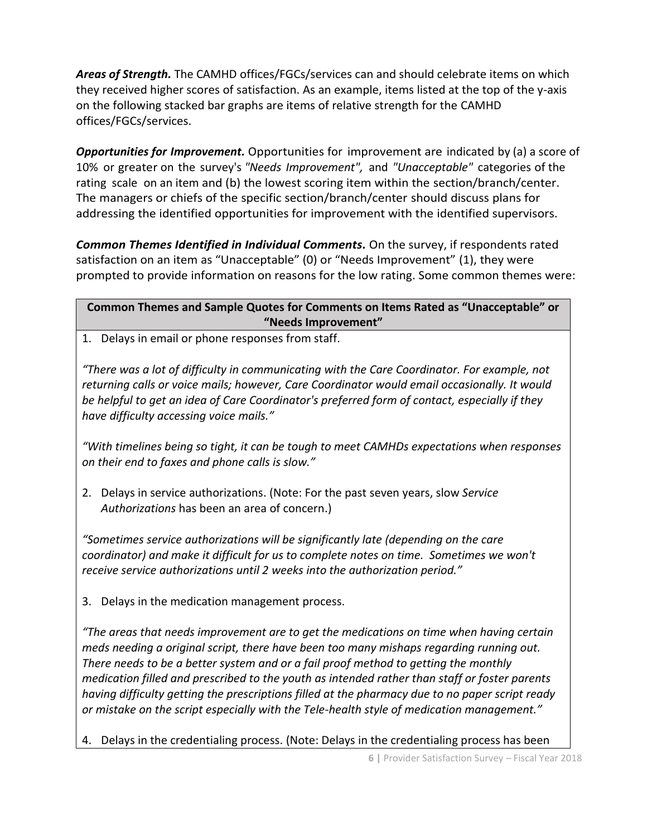*Areas of Strength.* The CAMHD offices/FGCs/services can and should celebrate items on which they received higher scores of satisfaction. As an example, items listed at the top of the y-axis on the following stacked bar graphs are items of relative strength for the CAMHD offices/FGCs/services.

*Opportunities for Improvement.* Opportunities for improvement are indicated by (a) a score of 10% or greater on the survey's *"Needs Improvement",* and *"Unacceptable"* categories of the rating scale on an item and (b) the lowest scoring item within the section/branch/center. The managers or chiefs of the specific section/branch/center should discuss plans for addressing the identified opportunities for improvement with the identified supervisors.

*Common Themes Identified in Individual Comments.* On the survey, if respondents rated satisfaction on an item as "Unacceptable" (0) or "Needs Improvement" (1), they were prompted to provide information on reasons for the low rating. Some common themes were:

**Common Themes and Sample Quotes for Comments on Items Rated as "Unacceptable" or "Needs Improvement"**

1. Delays in email or phone responses from staff.

*"There was a lot of difficulty in communicating with the Care Coordinator. For example, not returning calls or voice mails; however, Care Coordinator would email occasionally. It would be helpful to get an idea of Care Coordinator's preferred form of contact, especially if they have difficulty accessing voice mails."*

*"With timelines being so tight, it can be tough to meet CAMHDs expectations when responses on their end to faxes and phone calls is slow."*

2. Delays in service authorizations. (Note: For the past seven years, slow *Service Authorizations* has been an area of concern.)

*"Sometimes service authorizations will be significantly late (depending on the care coordinator) and make it difficult for us to complete notes on time. Sometimes we won't receive service authorizations until 2 weeks into the authorization period."*

3. Delays in the medication management process.

*"The areas that needs improvement are to get the medications on time when having certain meds needing a original script, there have been too many mishaps regarding running out. There needs to be a better system and or a fail proof method to getting the monthly medication filled and prescribed to the youth as intended rather than staff or foster parents having difficulty getting the prescriptions filled at the pharmacy due to no paper script ready or mistake on the script especially with the Tele-health style of medication management."*

4. Delays in the credentialing process. (Note: Delays in the credentialing process has been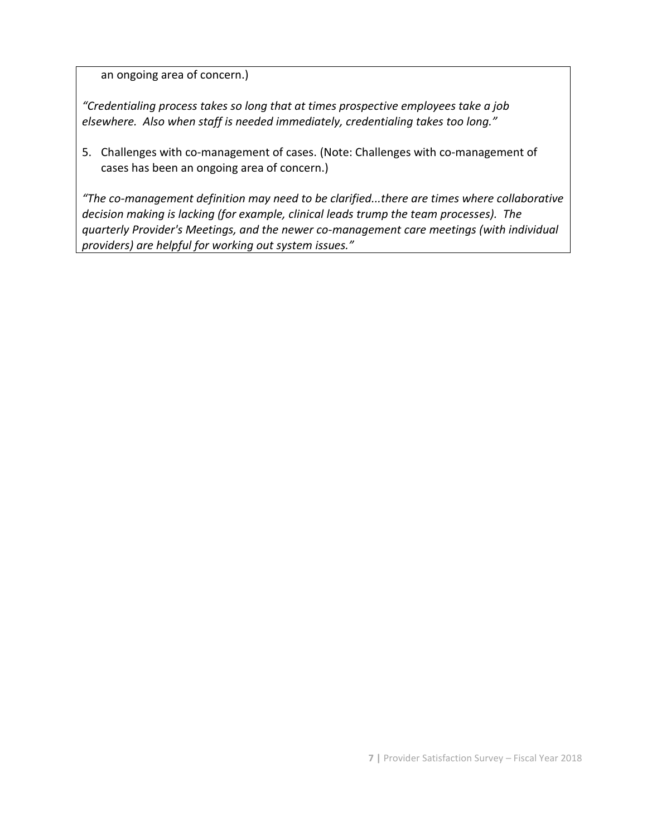an ongoing area of concern.)

*"Credentialing process takes so long that at times prospective employees take a job elsewhere. Also when staff is needed immediately, credentialing takes too long."*

5. Challenges with co-management of cases. (Note: Challenges with co-management of cases has been an ongoing area of concern.)

*"The co-management definition may need to be clarified...there are times where collaborative decision making is lacking (for example, clinical leads trump the team processes). The quarterly Provider's Meetings, and the newer co-management care meetings (with individual providers) are helpful for working out system issues."*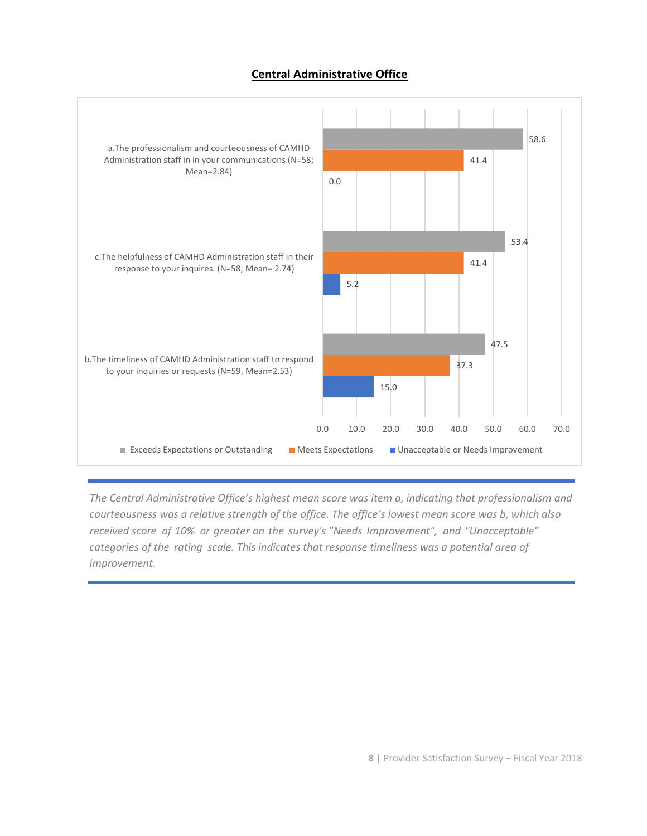#### **Central Administrative Office**



*The Central Administrative Office's highest mean score was item a, indicating that professionalism and courteousness was a relative strength of the office. The office's lowest mean score was b, which also received score of 10% or greater on the survey's "Needs Improvement", and "Unacceptable" categories of the rating scale. This indicates that response timeliness was a potential area of improvement.*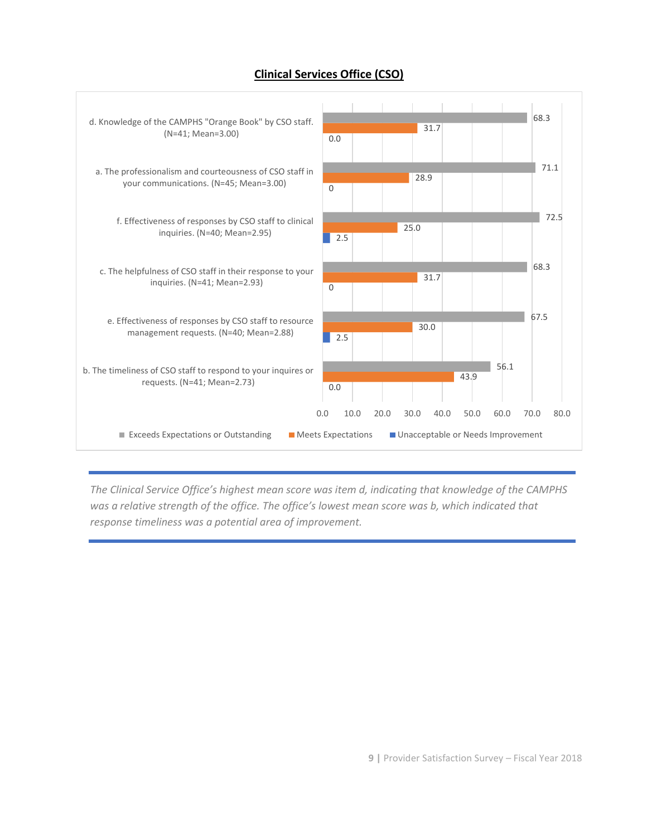

### **Clinical Services Office (CSO)**

*The Clinical Service Office's highest mean score was item d, indicating that knowledge of the CAMPHS was a relative strength of the office. The office's lowest mean score was b, which indicated that response timeliness was a potential area of improvement.*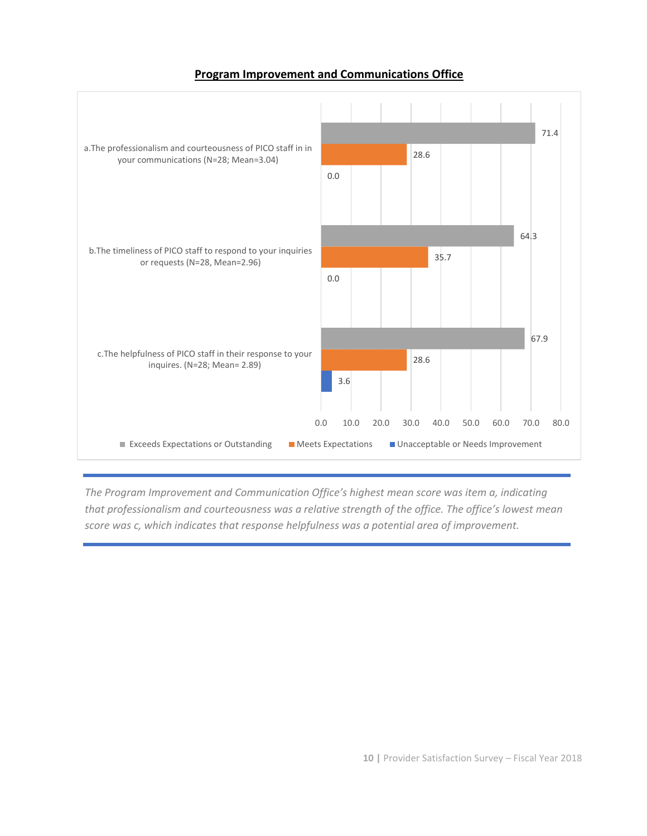#### **Program Improvement and Communications Office**



*The Program Improvement and Communication Office's highest mean score was item a, indicating that professionalism and courteousness was a relative strength of the office. The office's lowest mean score was c, which indicates that response helpfulness was a potential area of improvement.*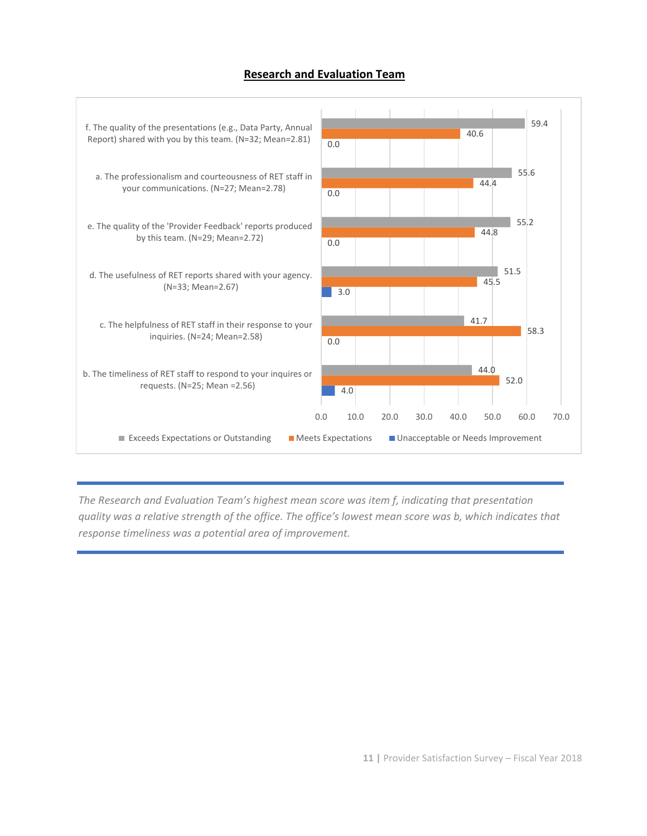#### **Research and Evaluation Team**



*The Research and Evaluation Team's highest mean score was item f, indicating that presentation quality was a relative strength of the office. The office's lowest mean score was b, which indicates that response timeliness was a potential area of improvement.*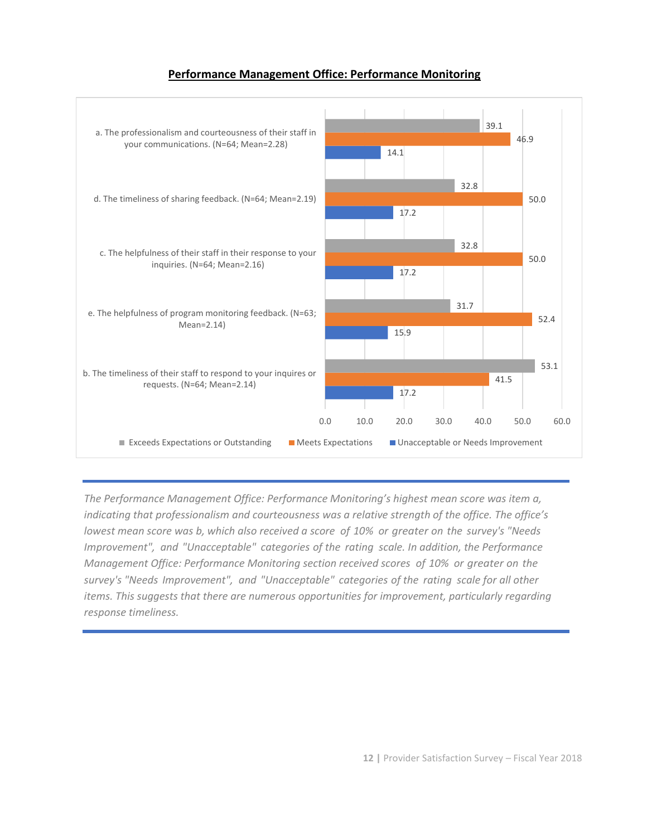#### **Performance Management Office: Performance Monitoring**



*The Performance Management Office: Performance Monitoring's highest mean score was item a, indicating that professionalism and courteousness was a relative strength of the office. The office's lowest mean score was b, which also received a score of 10% or greater on the survey's "Needs Improvement", and "Unacceptable" categories of the rating scale. In addition, the Performance Management Office: Performance Monitoring section received scores of 10% or greater on the survey's "Needs Improvement", and "Unacceptable" categories of the rating scale for all other items. This suggests that there are numerous opportunities for improvement, particularly regarding response timeliness.*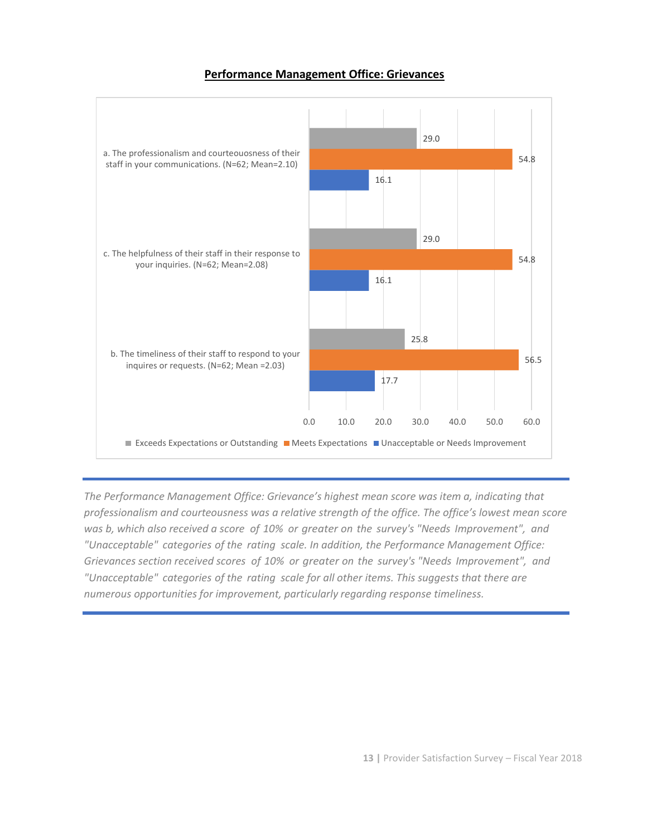#### **Performance Management Office: Grievances**



*The Performance Management Office: Grievance's highest mean score was item a, indicating that professionalism and courteousness was a relative strength of the office. The office's lowest mean score was b, which also received a score of 10% or greater on the survey's "Needs Improvement", and "Unacceptable" categories of the rating scale. In addition, the Performance Management Office: Grievances section received scores of 10% or greater on the survey's "Needs Improvement", and "Unacceptable" categories of the rating scale for all other items. This suggests that there are numerous opportunities for improvement, particularly regarding response timeliness.*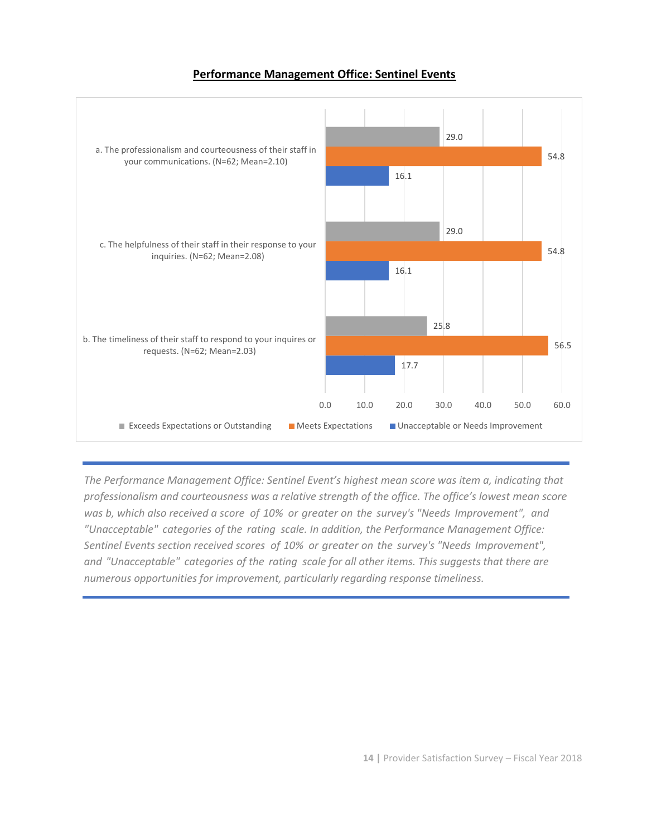#### **Performance Management Office: Sentinel Events**



*The Performance Management Office: Sentinel Event's highest mean score was item a, indicating that professionalism and courteousness was a relative strength of the office. The office's lowest mean score was b, which also received a score of 10% or greater on the survey's "Needs Improvement", and "Unacceptable" categories of the rating scale. In addition, the Performance Management Office: Sentinel Events section received scores of 10% or greater on the survey's "Needs Improvement", and "Unacceptable" categories of the rating scale for all other items. This suggests that there are numerous opportunities for improvement, particularly regarding response timeliness.*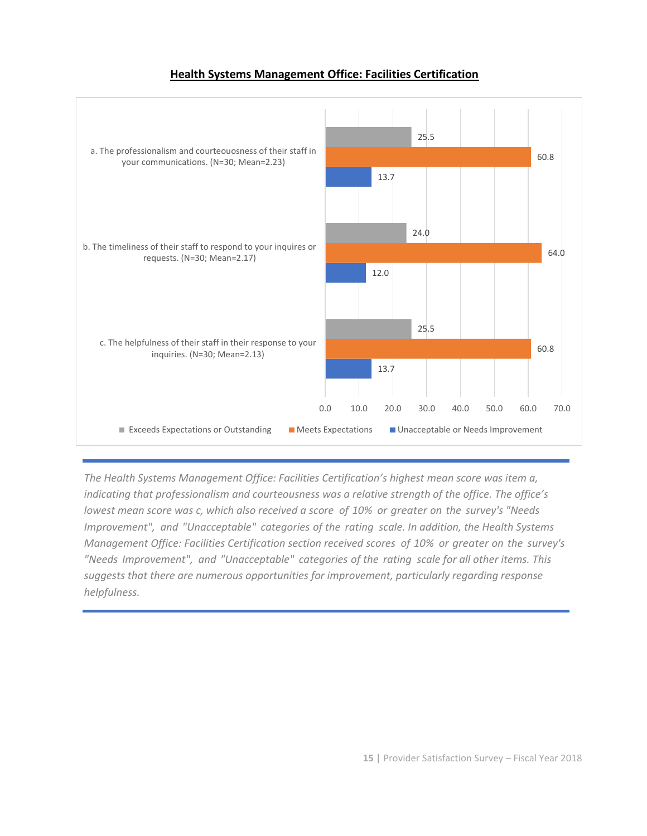#### **Health Systems Management Office: Facilities Certification**

![](_page_14_Figure_1.jpeg)

*The Health Systems Management Office: Facilities Certification's highest mean score was item a, indicating that professionalism and courteousness was a relative strength of the office. The office's lowest mean score was c, which also received a score of 10% or greater on the survey's "Needs Improvement", and "Unacceptable" categories of the rating scale. In addition, the Health Systems Management Office: Facilities Certification section received scores of 10% or greater on the survey's "Needs Improvement", and "Unacceptable" categories of the rating scale for all other items. This suggests that there are numerous opportunities for improvement, particularly regarding response helpfulness.*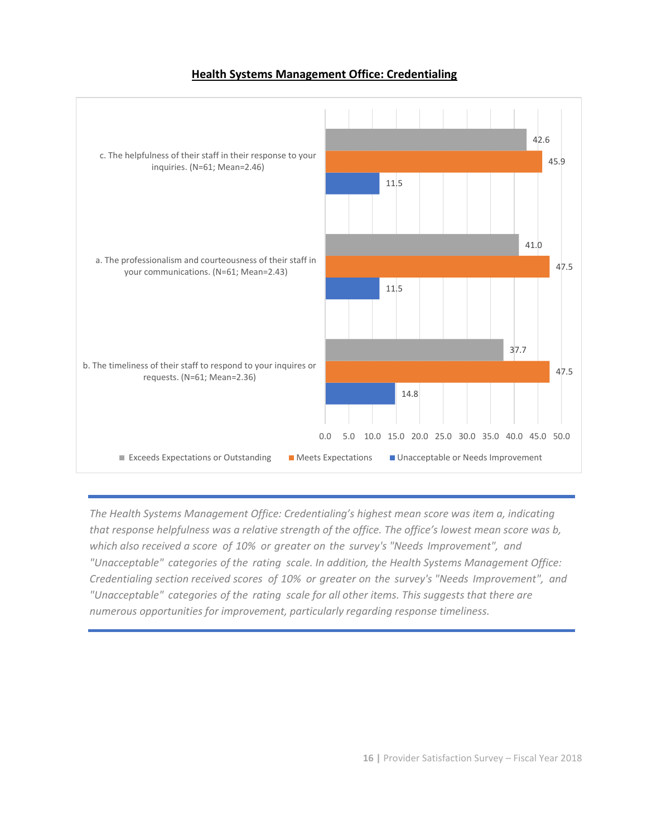#### **Health Systems Management Office: Credentialing**

![](_page_15_Figure_1.jpeg)

*The Health Systems Management Office: Credentialing's highest mean score was item a, indicating that response helpfulness was a relative strength of the office. The office's lowest mean score was b, which also received a score of 10% or greater on the survey's "Needs Improvement", and "Unacceptable" categories of the rating scale. In addition, the Health Systems Management Office: Credentialing section received scores of 10% or greater on the survey's "Needs Improvement", and "Unacceptable" categories of the rating scale for all other items. This suggests that there are numerous opportunities for improvement, particularly regarding response timeliness.*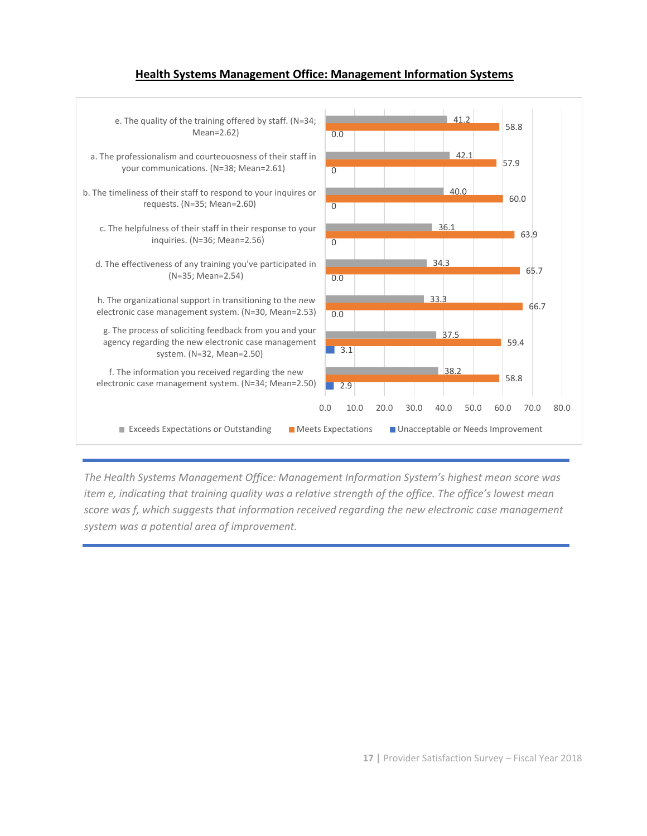#### **Health Systems Management Office: Management Information Systems**

![](_page_16_Figure_1.jpeg)

*The Health Systems Management Office: Management Information System's highest mean score was item e, indicating that training quality was a relative strength of the office. The office's lowest mean score was f, which suggests that information received regarding the new electronic case management system was a potential area of improvement.*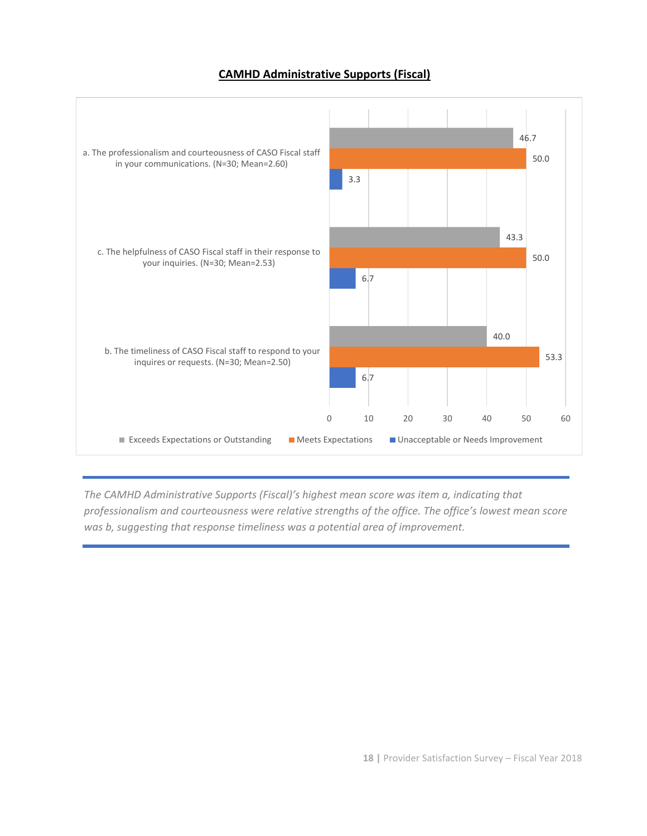#### **CAMHD Administrative Supports (Fiscal)**

![](_page_17_Figure_1.jpeg)

*The CAMHD Administrative Supports (Fiscal)'s highest mean score was item a, indicating that professionalism and courteousness were relative strengths of the office. The office's lowest mean score was b, suggesting that response timeliness was a potential area of improvement.*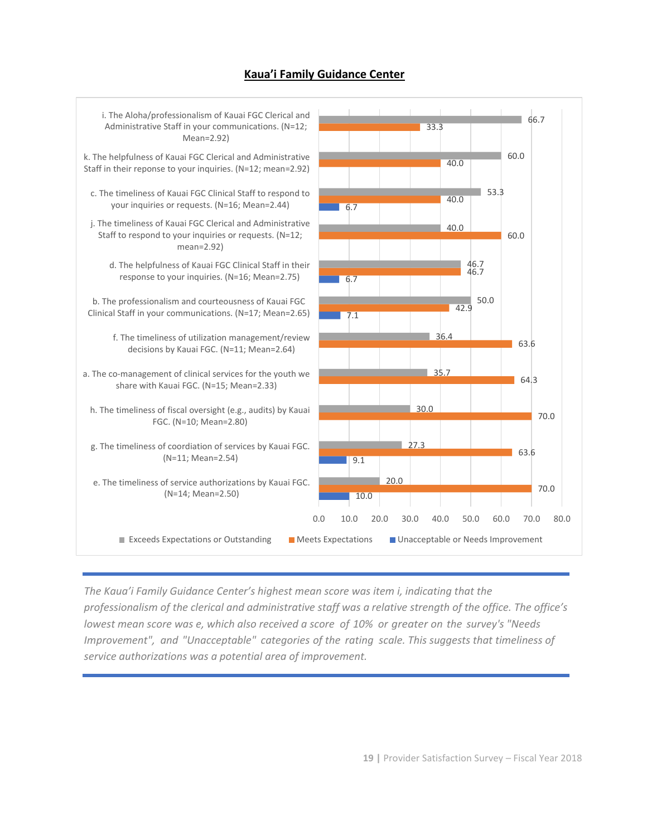#### **Kaua'i Family Guidance Center**

![](_page_18_Figure_1.jpeg)

*The Kaua'i Family Guidance Center's highest mean score was item i, indicating that the professionalism of the clerical and administrative staff was a relative strength of the office. The office's lowest mean score was e, which also received a score of 10% or greater on the survey's "Needs Improvement", and "Unacceptable" categories of the rating scale. This suggests that timeliness of service authorizations was a potential area of improvement.*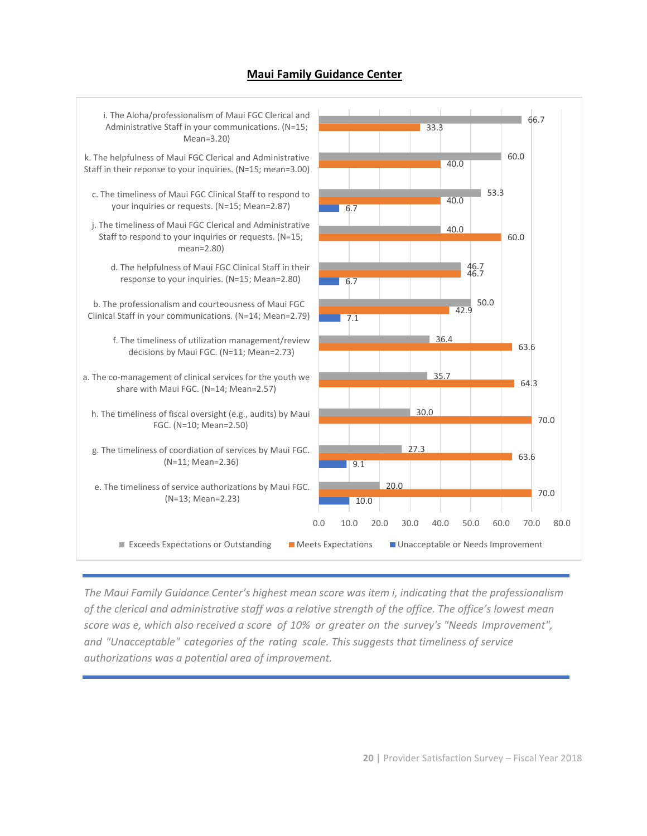#### **Maui Family Guidance Center**

![](_page_19_Figure_1.jpeg)

*The Maui Family Guidance Center's highest mean score was item i, indicating that the professionalism of the clerical and administrative staff was a relative strength of the office. The office's lowest mean score was e, which also received a score of 10% or greater on the survey's "Needs Improvement", and "Unacceptable" categories of the rating scale. This suggests that timeliness of service authorizations was a potential area of improvement.*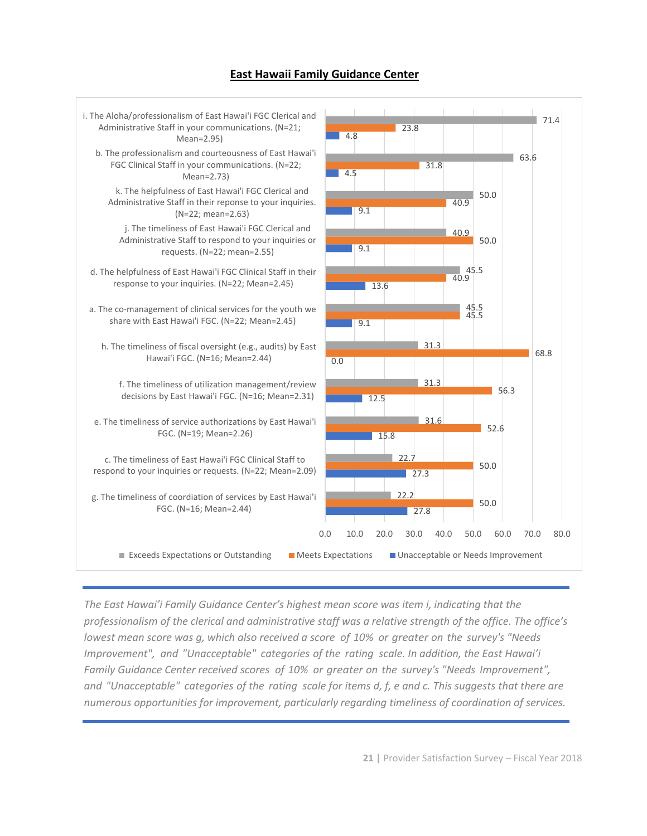#### **East Hawaii Family Guidance Center**

![](_page_20_Figure_1.jpeg)

*The East Hawai'i Family Guidance Center's highest mean score was item i, indicating that the professionalism of the clerical and administrative staff was a relative strength of the office. The office's lowest mean score was g, which also received a score of 10% or greater on the survey's "Needs Improvement", and "Unacceptable" categories of the rating scale. In addition, the East Hawai'i Family Guidance Center received scores of 10% or greater on the survey's "Needs Improvement", and "Unacceptable" categories of the rating scale for items d, f, e and c. This suggests that there are numerous opportunities for improvement, particularly regarding timeliness of coordination of services.*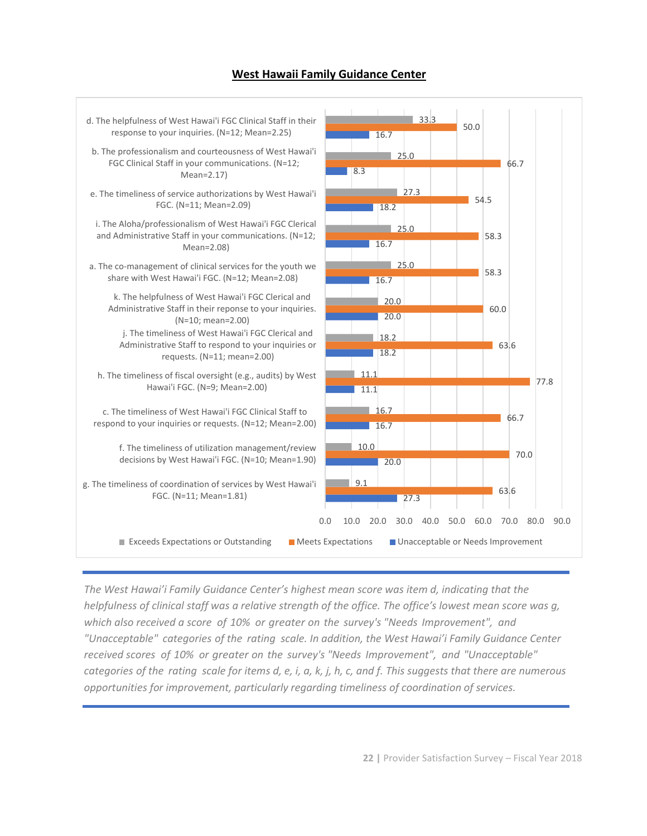#### **West Hawaii Family Guidance Center**

![](_page_21_Figure_1.jpeg)

*The West Hawai'i Family Guidance Center's highest mean score was item d, indicating that the helpfulness of clinical staff was a relative strength of the office. The office's lowest mean score was g, which also received a score of 10% or greater on the survey's "Needs Improvement", and "Unacceptable" categories of the rating scale. In addition, the West Hawai'i Family Guidance Center received scores of 10% or greater on the survey's "Needs Improvement", and "Unacceptable" categories of the rating scale for items d, e, i, a, k, j, h, c, and f. This suggests that there are numerous opportunities for improvement, particularly regarding timeliness of coordination of services.*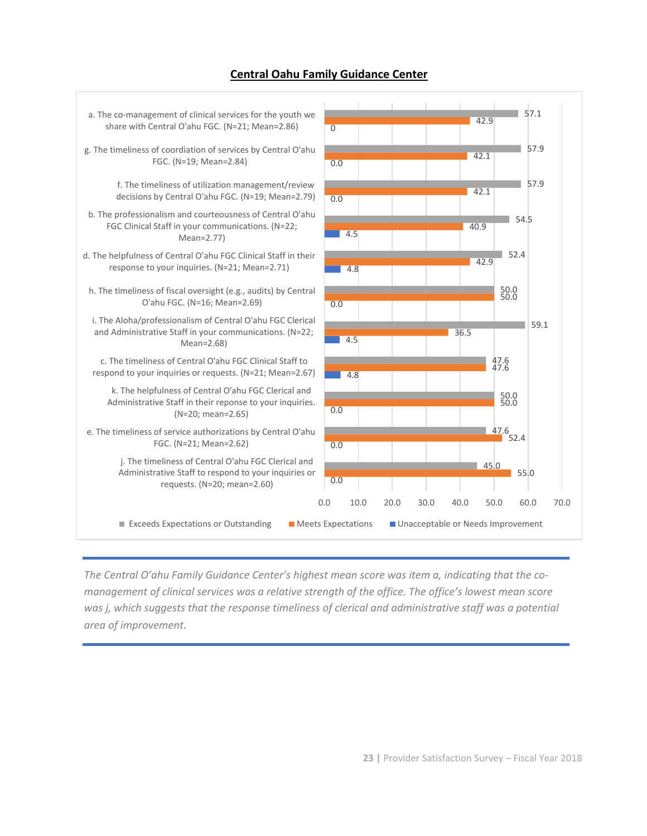#### **Central Oahu Family Guidance Center**

![](_page_22_Figure_1.jpeg)

*The Central O'ahu Family Guidance Center's highest mean score was item a, indicating that the comanagement of clinical services was a relative strength of the office. The office's lowest mean score was j, which suggests that the response timeliness of clerical and administrative staff was a potential area of improvement.*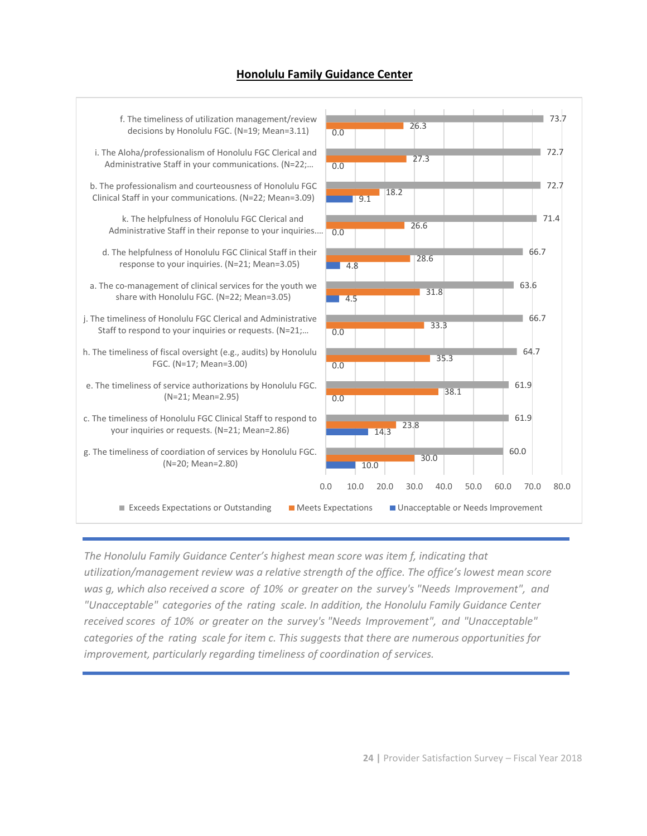#### **Honolulu Family Guidance Center**

![](_page_23_Figure_1.jpeg)

*The Honolulu Family Guidance Center's highest mean score was item f, indicating that utilization/management review was a relative strength of the office. The office's lowest mean score was g, which also received a score of 10% or greater on the survey's "Needs Improvement", and "Unacceptable" categories of the rating scale. In addition, the Honolulu Family Guidance Center received scores of 10% or greater on the survey's "Needs Improvement", and "Unacceptable" categories of the rating scale for item c. This suggests that there are numerous opportunities for improvement, particularly regarding timeliness of coordination of services.*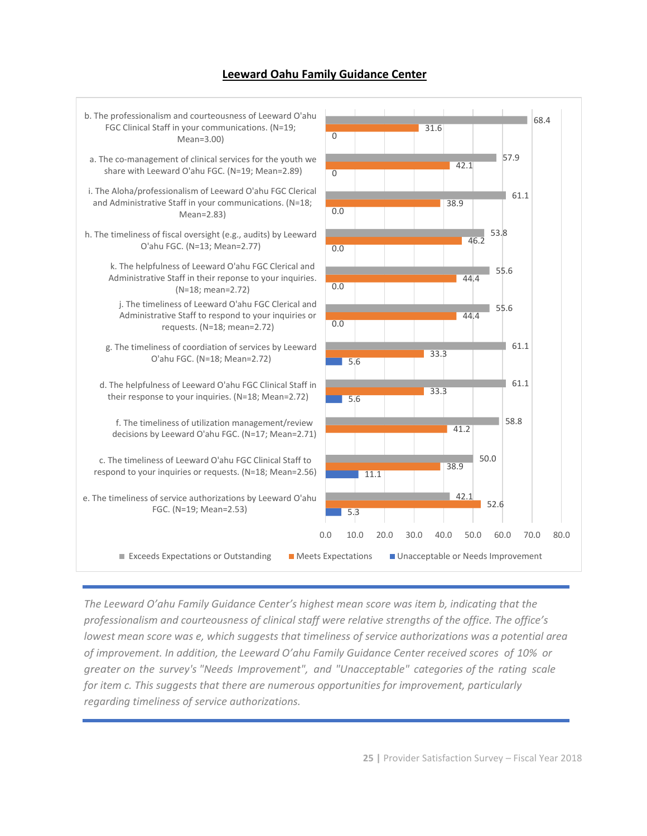#### **Leeward Oahu Family Guidance Center**

![](_page_24_Figure_1.jpeg)

*The Leeward O'ahu Family Guidance Center's highest mean score was item b, indicating that the professionalism and courteousness of clinical staff were relative strengths of the office. The office's lowest mean score was e, which suggests that timeliness of service authorizations was a potential area of improvement. In addition, the Leeward O'ahu Family Guidance Center received scores of 10% or greater on the survey's "Needs Improvement", and "Unacceptable" categories of the rating scale for item c. This suggests that there are numerous opportunities for improvement, particularly regarding timeliness of service authorizations.*